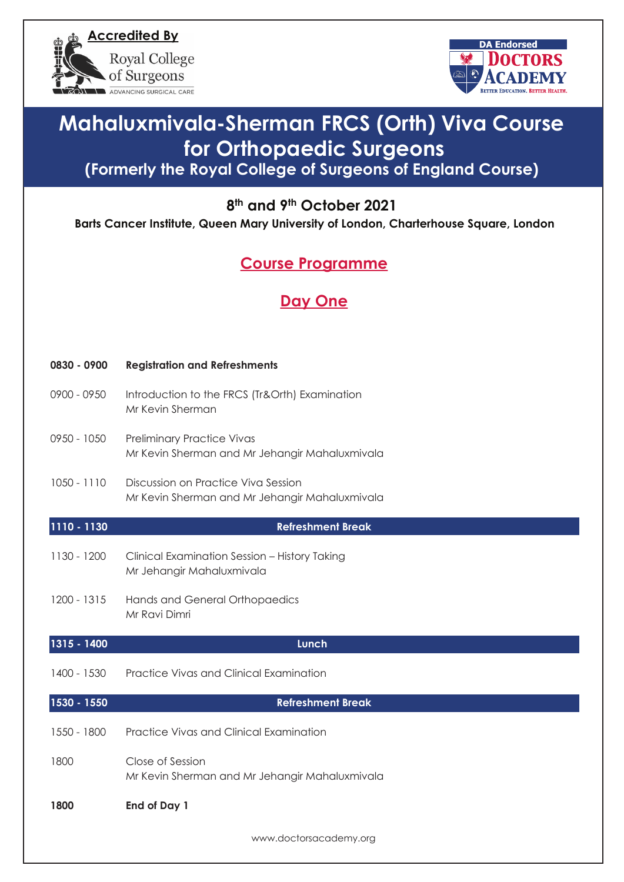



# **Mahaluxmivala-Sherman FRCS (Orth) Viva Course for Orthopaedic Surgeons**

**(Formerly the Royal College of Surgeons of England Course)** 

#### **8 th and 9th October 2021**

**Barts Cancer Institute, Queen Mary University of London, Charterhouse Square, London**

## **Course Programme**

## **Day One**

| 0830 - 0900 | <b>Registration and Refreshments</b>                                                  |
|-------------|---------------------------------------------------------------------------------------|
| 0900 - 0950 | Introduction to the FRCS (Tr&Orth) Examination<br>Mr Kevin Sherman                    |
| 0950 - 1050 | <b>Preliminary Practice Vivas</b><br>Mr Kevin Sherman and Mr Jehangir Mahaluxmivala   |
| 1050 - 1110 | Discussion on Practice Viva Session<br>Mr Kevin Sherman and Mr Jehangir Mahaluxmivala |
| 1110 - 1130 | <b>Refreshment Break</b>                                                              |
| 1130 - 1200 | Clinical Examination Session - History Taking<br>Mr Jehangir Mahaluxmivala            |
| 1200 - 1315 | Hands and General Orthopaedics<br>Mr Ravi Dimri                                       |
| 1315 - 1400 | Lunch                                                                                 |
| 1400 - 1530 | Practice Vivas and Clinical Examination                                               |
| 1530 - 1550 | <b>Refreshment Break</b>                                                              |
| 1550 - 1800 | Practice Vivas and Clinical Examination                                               |
| 1800        | Close of Session<br>Mr Kevin Sherman and Mr Jehangir Mahaluxmivala                    |
| 1800        | End of Day 1                                                                          |
|             | www.doctorsacademy.org                                                                |